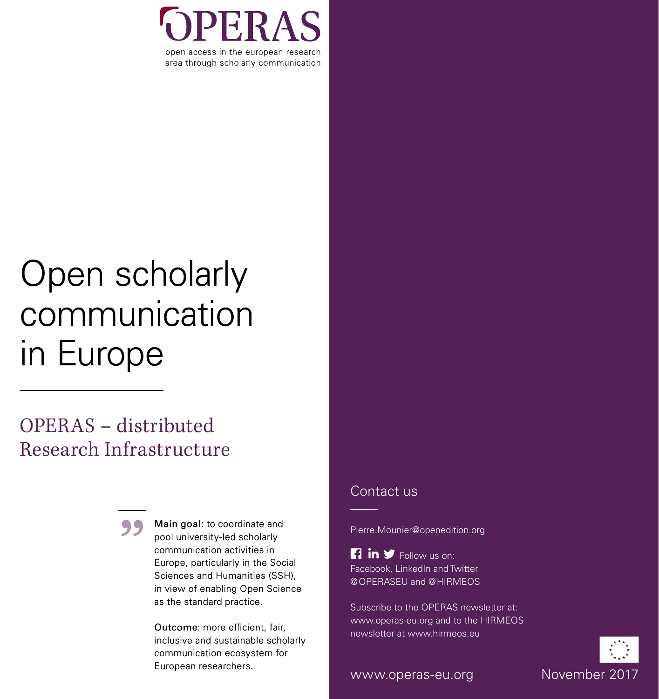

# Open scholarly communication in Europe

# OPERAS – distributed Research Infrastructure



Main goal: to coordinate and pool university-led scholarly communication activities in Europe, particularly in the Social Sciences and Humanities (SSH), in view of enabling Open Science as the standard practice.

Outcome: more efficient, fair, inclusive and sustainable scholarly communication ecosystem for European researchers.

### Contact us

Pierre.Mounier@openedition.org

 $\Box$  in  $\blacktriangleright$  Follow us on: Facebook, LinkedIn and Twitter @OPERASEU and @HIRMEOS

Subscribe to the OPERAS newsletter at: www.operas-eu.org and to the HIRMEOS newsletter at www.hirmeos.eu



www.operas-eu.org Movember 2017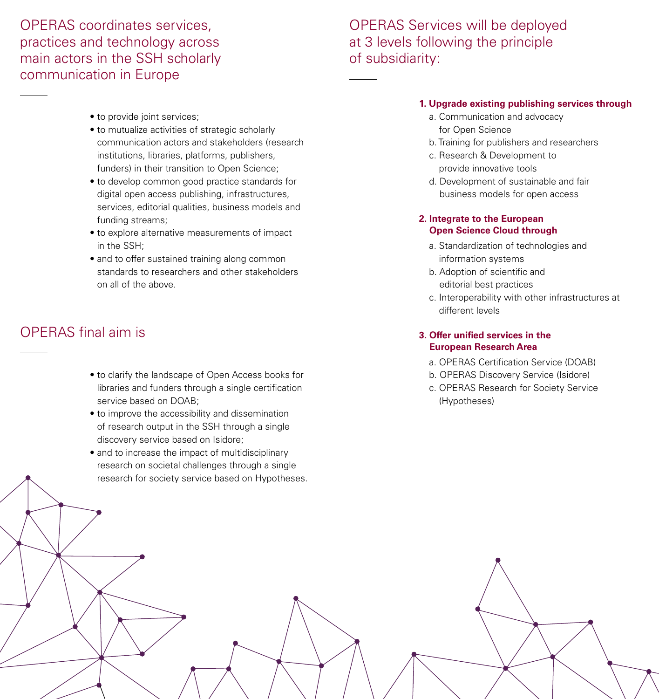### OPERAS coordinates services, practices and technology across main actors in the SSH scholarly communication in Europe

## OPERAS Services will be deployed at 3 levels following the principle of subsidiarity:

- to provide joint services:
- to mutualize activities of strategic scholarly communication actors and stakeholders (research institutions, libraries, platforms, publishers, funders) in their transition to Open Science;
- to develop common good practice standards for digital open access publishing, infrastructures, services, editorial qualities, business models and funding streams;
- to explore alternative measurements of impact in the SSH;
- and to offer sustained training along common standards to researchers and other stakeholders on all of the above.

# OPERAS final aim is

- to clarify the landscape of Open Access books for libraries and funders through a single certification service based on DOAB;
- to improve the accessibility and dissemination of research output in the SSH through a single discovery service based on Isidore;
- and to increase the impact of multidisciplinary research on societal challenges through a single research for society service based on Hypotheses.

#### **1. Upgrade existing publishing services through**

- a. Communication and advocacy for Open Science
- b. Training for publishers and researchers
- c. Research & Development to provide innovative tools
- d. Development of sustainable and fair business models for open access

#### **2. Integrate to the European Open Science Cloud through**

- a. Standardization of technologies and information systems
- b. Adoption of scientific and editorial best practices
- c. Interoperability with other infrastructures at different levels

#### **3. Offer unified services in the European Research Area**

- a. OPERAS Certification Service (DOAB)
- b. OPERAS Discovery Service (Isidore)
- c. OPERAS Research for Society Service (Hypotheses)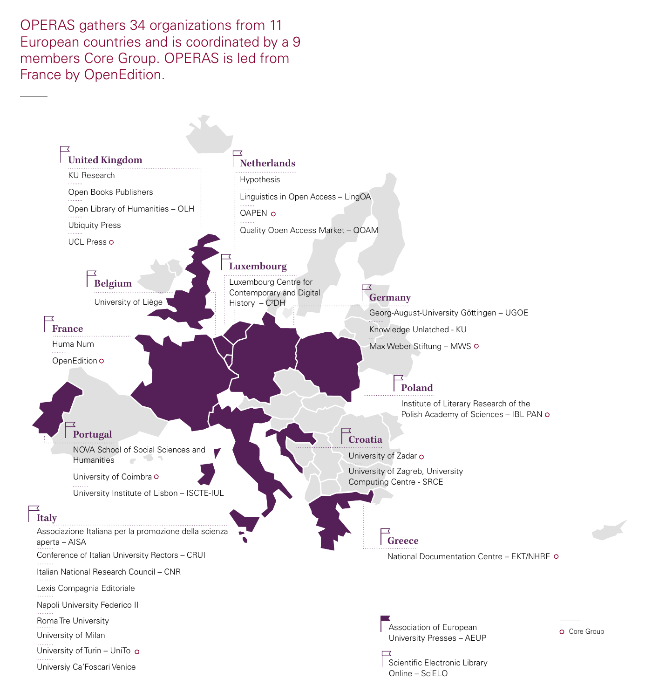OPERAS gathers 34 organizations from 11 European countries and is coordinated by a 9 members Core Group. OPERAS is led from France by OpenEdition.